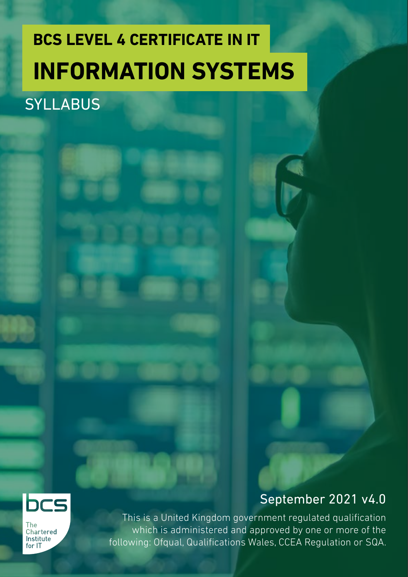### **BCS LEVEL 4 CERTIFICATE IN IT INFORMATION SYSTEMS**

### **SYLLABUS**



**The** Chartered Institute for IT

bcs

This is a United Kingdom government regulated qualification which is administered and approved by one or more of the following: Ofqual, Qualifications Wales, CCEA Regulation or SQA.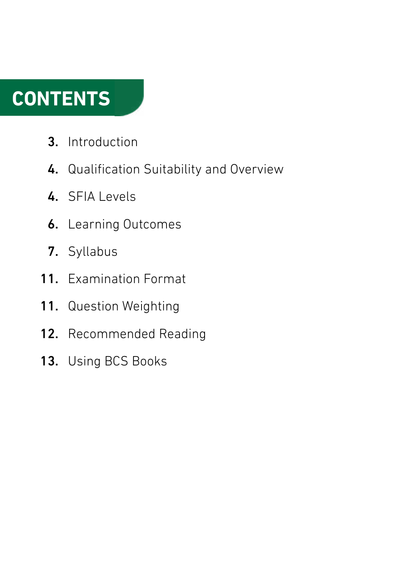### **CONTENTS**

- Introduction 3.
- 4. Qualification Suitability and Overview
- 4. SFIA Levels
- **6.** Learning Outcomes
- 7. Syllabus
- 11. Examination Format
- Question Weighting 11.
- 12. Recommended Reading
- 13. Using BCS Books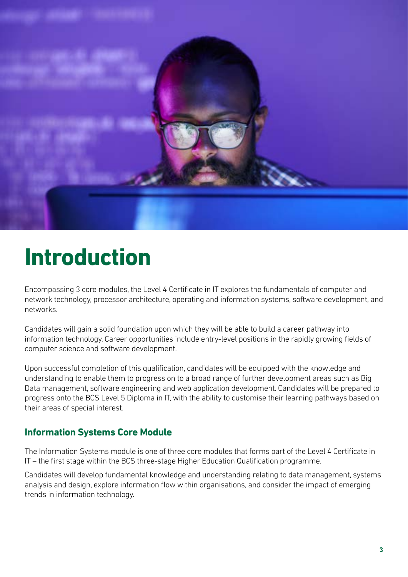

### **Introduction**

Encompassing 3 core modules, the Level 4 Certificate in IT explores the fundamentals of computer and network technology, processor architecture, operating and information systems, software development, and networks.

Candidates will gain a solid foundation upon which they will be able to build a career pathway into information technology. Career opportunities include entry-level positions in the rapidly growing fields of computer science and software development.

Upon successful completion of this qualification, candidates will be equipped with the knowledge and understanding to enable them to progress on to a broad range of further development areas such as Big Data management, software engineering and web application development. Candidates will be prepared to progress onto the BCS Level 5 Diploma in IT, with the ability to customise their learning pathways based on their areas of special interest.

#### **Information Systems Core Module**

The Information Systems module is one of three core modules that forms part of the Level 4 Certificate in IT – the first stage within the BCS three-stage Higher Education Qualification programme.

Candidates will develop fundamental knowledge and understanding relating to data management, systems analysis and design, explore information flow within organisations, and consider the impact of emerging trends in information technology.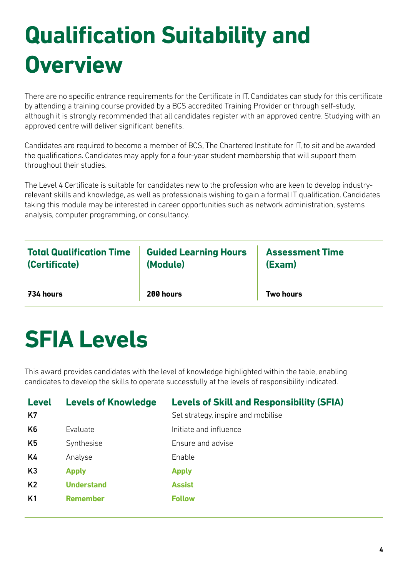# **Qualification Suitability and Overview**

There are no specific entrance requirements for the Certificate in IT. Candidates can study for this certificate by attending a training course provided by a BCS accredited Training Provider or through self-study, although it is strongly recommended that all candidates register with an approved centre. Studying with an approved centre will deliver significant benefits.

Candidates are required to become a member of BCS, The Chartered Institute for IT, to sit and be awarded the qualifications. Candidates may apply for a four-year student membership that will support them throughout their studies.

The Level 4 Certificate is suitable for candidates new to the profession who are keen to develop industryrelevant skills and knowledge, as well as professionals wishing to gain a formal IT qualification. Candidates taking this module may be interested in career opportunities such as network administration, systems analysis, computer programming, or consultancy.

| <b>Total Qualification Time</b> | <b>Guided Learning Hours</b> | <b>Assessment Time</b> |
|---------------------------------|------------------------------|------------------------|
| (Certificate)                   | (Module)                     | (Exam)                 |
| 734 hours                       | 200 hours                    | <b>Two hours</b>       |

### **SFIA Levels**

This award provides candidates with the level of knowledge highlighted within the table, enabling candidates to develop the skills to operate successfully at the levels of responsibility indicated.

| <b>Level</b><br>K7 | <b>Levels of Knowledge</b> | <b>Levels of Skill and Responsibility (SFIA)</b><br>Set strategy, inspire and mobilise |
|--------------------|----------------------------|----------------------------------------------------------------------------------------|
| K <sub>6</sub>     | Evaluate                   | Initiate and influence                                                                 |
| K <sub>5</sub>     | Synthesise                 | Ensure and advise                                                                      |
| K4                 | Analyse                    | Enable                                                                                 |
| K3                 | <b>Apply</b>               | <b>Apply</b>                                                                           |
| K <sub>2</sub>     | <b>Understand</b>          | <b>Assist</b>                                                                          |
| K <sub>1</sub>     | <b>Remember</b>            | <b>Follow</b>                                                                          |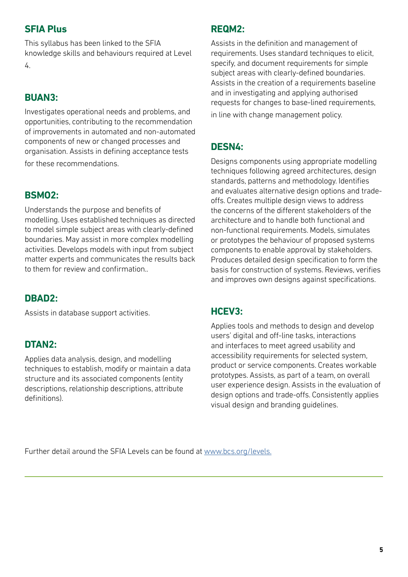#### **SFIA Plus**

This syllabus has been linked to the SFIA knowledge skills and behaviours required at Level 4.

#### **BUAN3:**

Investigates operational needs and problems, and opportunities, contributing to the recommendation of improvements in automated and non-automated components of new or changed processes and organisation. Assists in defining acceptance tests for these recommendations.

#### **BSMO2:**

Understands the purpose and benefits of modelling. Uses established techniques as directed to model simple subject areas with clearly-defined boundaries. May assist in more complex modelling activities. Develops models with input from subject matter experts and communicates the results back to them for review and confirmation..

#### **DBAD2:**

Assists in database support activities.

#### **DTAN2:**

Applies data analysis, design, and modelling techniques to establish, modify or maintain a data structure and its associated components (entity descriptions, relationship descriptions, attribute definitions).

#### **REQM2:**

Assists in the definition and management of requirements. Uses standard techniques to elicit, specify, and document requirements for simple subject areas with clearly-defined boundaries. Assists in the creation of a requirements baseline and in investigating and applying authorised requests for changes to base-lined requirements, in line with change management policy.

#### **DESN4:**

Designs components using appropriate modelling techniques following agreed architectures, design standards, patterns and methodology. Identifies and evaluates alternative design options and tradeoffs. Creates multiple design views to address the concerns of the different stakeholders of the architecture and to handle both functional and non-functional requirements. Models, simulates or prototypes the behaviour of proposed systems components to enable approval by stakeholders. Produces detailed design specification to form the basis for construction of systems. Reviews, verifies and improves own designs against specifications.

#### **HCEV3:**

Applies tools and methods to design and develop users' digital and off-line tasks, interactions and interfaces to meet agreed usability and accessibility requirements for selected system, product or service components. Creates workable prototypes. Assists, as part of a team, on overall user experience design. Assists in the evaluation of design options and trade-offs. Consistently applies visual design and branding guidelines.

Further detail around the SFIA Levels can be found at [www.bcs.org/levels.](https://www.bcs.org/media/5165/sfia-levels-knowledge.pdf)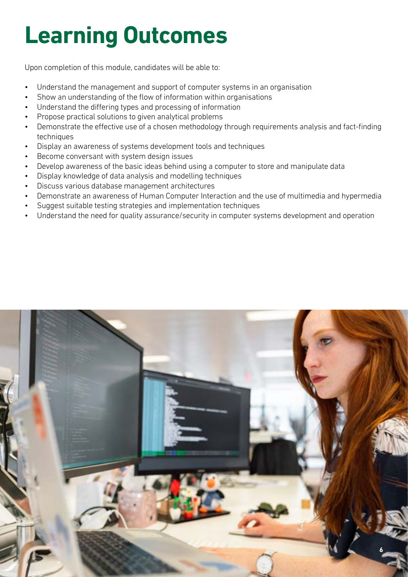# **Learning Outcomes**

Upon completion of this module, candidates will be able to:

- Understand the management and support of computer systems in an organisation
- Show an understanding of the flow of information within organisations
- Understand the differing types and processing of information
- Propose practical solutions to given analytical problems
- Demonstrate the effective use of a chosen methodology through requirements analysis and fact-finding techniques
- Display an awareness of systems development tools and techniques
- Become conversant with system design issues
- Develop awareness of the basic ideas behind using a computer to store and manipulate data
- Display knowledge of data analysis and modelling techniques
- Discuss various database management architectures
- Demonstrate an awareness of Human Computer Interaction and the use of multimedia and hypermedia
- Suggest suitable testing strategies and implementation techniques
- Understand the need for quality assurance/security in computer systems development and operation

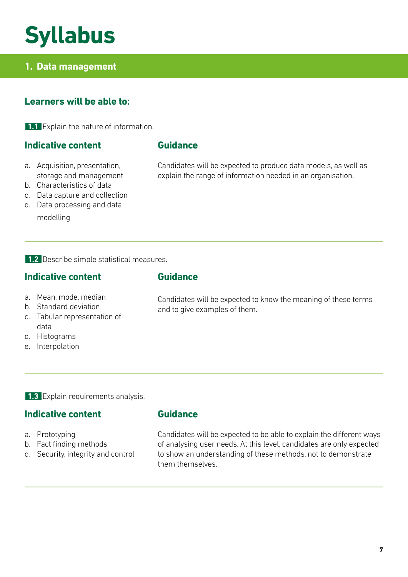### **Syllabus**

#### **1. Data management**

#### **Learners will be able to:**

**1.1** Explain the nature of information.

#### **Indicative content**

#### **Guidance**

- a. Acquisition, presentation, storage and management
- b. Characteristics of data
- c. Data capture and collection
- d. Data processing and data

modelling

Candidates will be expected to produce data models, as well as explain the range of information needed in an organisation.

**1.2** Describe simple statistical measures.

#### **Indicative content**

- a. Mean, mode, median
- b. Standard deviation
- c. Tabular representation of data
- d. Histograms
- e. Interpolation

#### **Guidance**

Candidates will be expected to know the meaning of these terms and to give examples of them.

**1.3** Explain requirements analysis.

#### **Indicative content**

- a. Prototyping
- b. Fact finding methods
- c. Security, integrity and control

#### **Guidance**

Candidates will be expected to be able to explain the different ways of analysing user needs. At this level, candidates are only expected to show an understanding of these methods, not to demonstrate them themselves.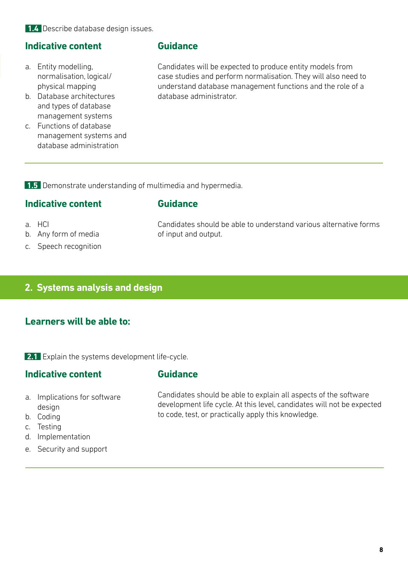#### **Indicative content**

- a. Entity modelling, normalisation, logical/ physical mapping
- b. Database architectures and types of database management systems
- c. Functions of database management systems and database administration

#### **Guidance**

Candidates will be expected to produce entity models from case studies and perform normalisation. They will also need to understand database management functions and the role of a database administrator.

**1.5** Demonstrate understanding of multimedia and hypermedia.

#### **Indicative content**

#### **Guidance**

- a. HCI
- b. Any form of media
- c. Speech recognition

Candidates should be able to understand various alternative forms of input and output.

#### **2. Systems analysis and design**

#### **Learners will be able to:**

2.1 Explain the systems development life-cycle.

#### **Indicative content**

#### **Guidance**

- a. Implications for software design
- b. Coding
- c. Testing
- d. Implementation
- e. Security and support

Candidates should be able to explain all aspects of the software development life cycle. At this level, candidates will not be expected to code, test, or practically apply this knowledge.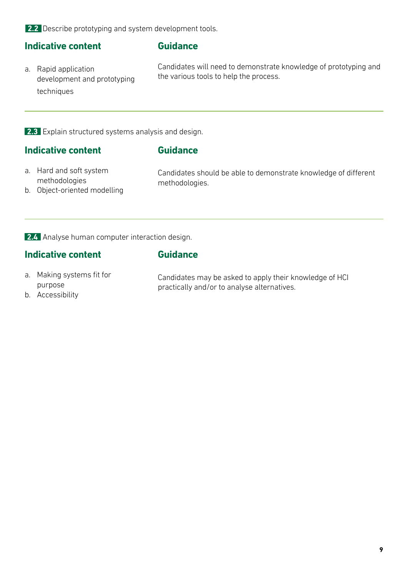**2.2** Describe prototyping and system development tools.

#### **Indicative content**

#### **Guidance**

a. Rapid application development and prototyping techniques

Candidates will need to demonstrate knowledge of prototyping and the various tools to help the process.

**2.3** Explain structured systems analysis and design.

#### **Indicative content**

#### **Guidance**

a. Hard and soft system methodologies

Candidates should be able to demonstrate knowledge of different methodologies.

b. Object-oriented modelling

**2.4** Analyse human computer interaction design.

#### **Indicative content**

**Guidance**

- a. Making systems fit for purpose
- b. Accessibility

Candidates may be asked to apply their knowledge of HCI practically and/or to analyse alternatives.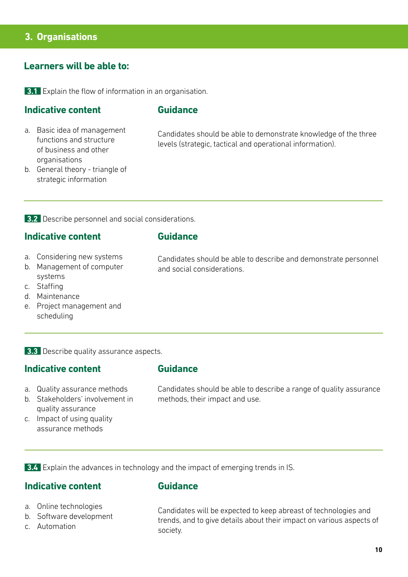#### **3. Organisations**

#### **Learners will be able to:**

**3.1** Explain the flow of information in an organisation.

#### **Indicative content**

#### **Guidance**

a. Basic idea of management functions and structure of business and other organisations

Candidates should be able to demonstrate knowledge of the three levels (strategic, tactical and operational information).

b. General theory - triangle of strategic information

**3.2** Describe personnel and social considerations.

#### **Indicative content**

#### **Guidance**

- a. Considering new systems
- b. Management of computer systems
- c. Staffing
- d. Maintenance
- e. Project management and scheduling

**3.3** Describe quality assurance aspects.

#### **Indicative content**

#### **Guidance**

- a. Quality assurance methods
- b. Stakeholders' involvement in quality assurance
- c. Impact of using quality assurance methods

Candidates should be able to describe a range of quality assurance methods, their impact and use.

**3.4** Explain the advances in technology and the impact of emerging trends in IS.

#### **Indicative content**

#### **Guidance**

- a. Online technologies
- b. Software development
- c. Automation

Candidates will be expected to keep abreast of technologies and trends, and to give details about their impact on various aspects of society.

Candidates should be able to describe and demonstrate personnel and social considerations.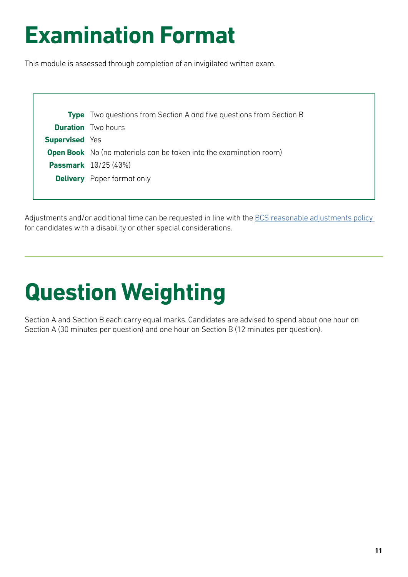## **Examination Format**

This module is assessed through completion of an invigilated written exam.

|                       | <b>Type</b> Two questions from Section A and five questions from Section B |
|-----------------------|----------------------------------------------------------------------------|
|                       | <b>Duration</b> Two hours                                                  |
| <b>Supervised</b> Yes |                                                                            |
|                       | <b>Open Book</b> No (no materials can be taken into the examination room)  |
|                       | <b>Passmark</b> 10/25 (40%)                                                |
|                       | <b>Delivery</b> Paper format only                                          |
|                       |                                                                            |

Adjustments and/or additional time can be requested in line with the BCS reasonable adjustments policy for candidates with a disability or other special considerations.

# **Question Weighting**

Section A and Section B each carry equal marks. Candidates are advised to spend about one hour on Section A (30 minutes per question) and one hour on Section B (12 minutes per question).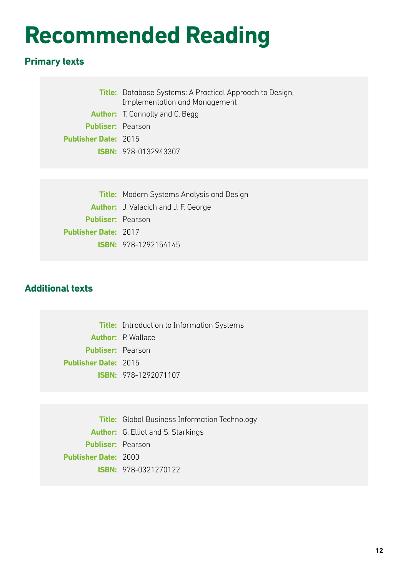## **Recommended Reading**

### **Primary texts**

|                             | <b>Title:</b> Database Systems: A Practical Approach to Design,<br>Implementation and Management |  |
|-----------------------------|--------------------------------------------------------------------------------------------------|--|
|                             | <b>Author:</b> T. Connolly and C. Begg                                                           |  |
| <b>Publiser:</b> Pearson    |                                                                                                  |  |
| <b>Publisher Date: 2015</b> |                                                                                                  |  |
|                             | <b>ISBN: 978-0132943307</b>                                                                      |  |

|                             | <b>Title:</b> Modern Systems Analysis and Design |  |
|-----------------------------|--------------------------------------------------|--|
|                             | <b>Author:</b> J. Valacich and J. F. George      |  |
| <b>Publiser: Pearson</b>    |                                                  |  |
| <b>Publisher Date: 2017</b> |                                                  |  |
|                             | <b>ISBN: 978-1292154145</b>                      |  |
|                             |                                                  |  |

#### **Additional texts**

**Title:** Introduction to Information Systems **Author:** P. Wallace **Publiser:** Pearson **Publisher Date:** 2015 **ISBN:** 978-1292071107

**Title:** Global Business Information Technology **Author:** G. Elliot and S. Starkings **Publiser:** Pearson **Publisher Date:** 2000 **ISBN:** 978-0321270122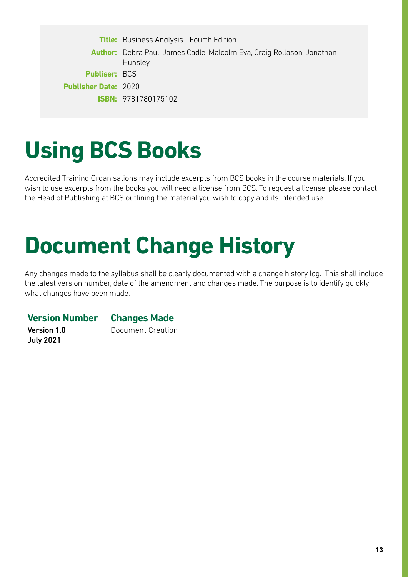**Title:** Business Analysis - Fourth Edition **Author:** Debra Paul, James Cadle, Malcolm Eva, Craig Rollason, Jonathan Hunsley **Publiser:** BCS **Publisher Date:** 2020 **ISBN:** 9781780175102

### **Using BCS Books**

Accredited Training Organisations may include excerpts from BCS books in the course materials. If you wish to use excerpts from the books you will need a license from BCS. To request a license, please contact the Head of Publishing at BCS outlining the material you wish to copy and its intended use.

# **Document Change History**

Any changes made to the syllabus shall be clearly documented with a change history log. This shall include the latest version number, date of the amendment and changes made. The purpose is to identify quickly what changes have been made.

**Version Number Changes Made** 

Version 1.0 July 2021

Document Creation